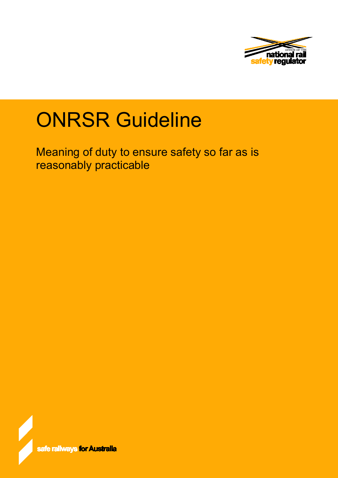

# ONRSR Guideline

Meaning of duty to ensure safety so far as is reasonably practicable

ie railways for Aust<mark>ralia</mark>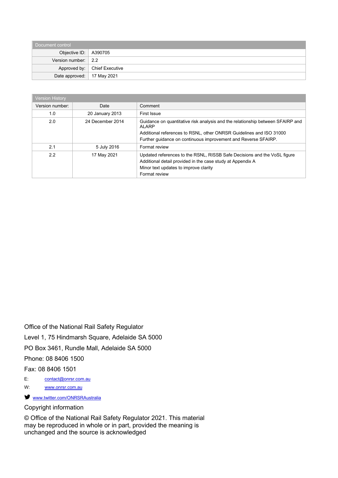| Document control              |                                |  |  |
|-------------------------------|--------------------------------|--|--|
| Objective ID: $\vert$ A390705 |                                |  |  |
| Version number: $\vert$ 2.2   |                                |  |  |
|                               | Approved by:   Chief Executive |  |  |
| Date approved:   17 May 2021  |                                |  |  |

| <b>Version History</b> |                  |                                                                                         |
|------------------------|------------------|-----------------------------------------------------------------------------------------|
| Version number:        | Date             | Comment                                                                                 |
| 1.0                    | 20 January 2013  | First Issue                                                                             |
| 2.0                    | 24 December 2014 | Guidance on quantitative risk analysis and the relationship between SFAIRP and<br>ALARP |
|                        |                  | Additional references to RSNL, other ONRSR Guidelines and ISO 31000                     |
|                        |                  | Further guidance on continuous improvement and Reverse SFAIRP.                          |
| 2.1                    | 5 July 2016      | Format review                                                                           |
| 2.2                    | 17 May 2021      | Updated references to the RSNL, RISSB Safe Decisions and the VoSL figure                |
|                        |                  | Additional detail provided in the case study at Appendix A                              |
|                        |                  | Minor text updates to improve clarity                                                   |
|                        |                  | Format review                                                                           |

Office of the National Rail Safety Regulator

Level 1, 75 Hindmarsh Square, Adelaide SA 5000

PO Box 3461, Rundle Mall, Adelaide SA 5000

Phone: 08 8406 1500

Fax: 08 8406 1501

E: [contact@onrsr.com.au](mailto:contact@onrsr.com.au)

W: [www.onrsr.com.au](http://www.onrsr.com.au/)

 [www.twitter.com/ONRSRAustralia](http://www.twitter.com/ONRSRAustralia)

## Copyright information

© Office of the National Rail Safety Regulator 2021. This material may be reproduced in whole or in part, provided the meaning is unchanged and the source is acknowledged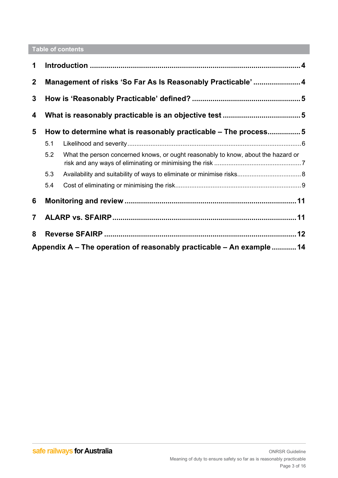## **Table of contents**

| 1              |                                                            |                                                                                   |  |
|----------------|------------------------------------------------------------|-----------------------------------------------------------------------------------|--|
| $\overline{2}$ | Management of risks 'So Far As Is Reasonably Practicable'4 |                                                                                   |  |
| 3              |                                                            |                                                                                   |  |
| 4              |                                                            |                                                                                   |  |
| 5              |                                                            | How to determine what is reasonably practicable - The process5                    |  |
|                | 5.1                                                        |                                                                                   |  |
|                | 5.2                                                        | What the person concerned knows, or ought reasonably to know, about the hazard or |  |
|                | 5.3                                                        |                                                                                   |  |
|                | 5.4                                                        |                                                                                   |  |
| 6              |                                                            |                                                                                   |  |
| $\mathbf 7$    |                                                            |                                                                                   |  |
| 8              |                                                            |                                                                                   |  |
|                |                                                            | Appendix A – The operation of reasonably practicable – An example 14              |  |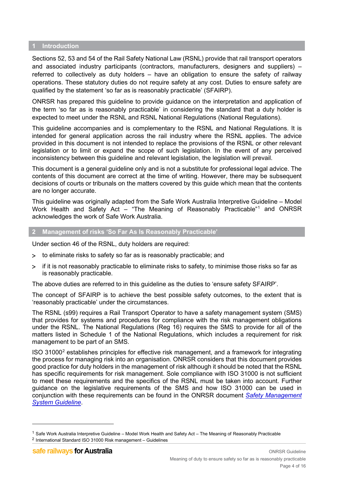#### <span id="page-3-0"></span>**1 Introduction**

Sections 52, 53 and 54 of the Rail Safety National Law (RSNL) provide that rail transport operators and associated industry participants (contractors, manufacturers, designers and suppliers) – referred to collectively as duty holders – have an obligation to ensure the safety of railway operations. These statutory duties do not require safety at any cost. Duties to ensure safety are qualified by the statement 'so far as is reasonably practicable' (SFAIRP).

ONRSR has prepared this guideline to provide guidance on the interpretation and application of the term 'so far as is reasonably practicable' in considering the standard that a duty holder is expected to meet under the RSNL and RSNL National Regulations (National Regulations).

This guideline accompanies and is complementary to the RSNL and National Regulations. It is intended for general application across the rail industry where the RSNL applies. The advice provided in this document is not intended to replace the provisions of the RSNL or other relevant legislation or to limit or expand the scope of such legislation. In the event of any perceived inconsistency between this guideline and relevant legislation, the legislation will prevail.

This document is a general guideline only and is not a substitute for professional legal advice. The contents of this document are correct at the time of writing. However, there may be subsequent decisions of courts or tribunals on the matters covered by this guide which mean that the contents are no longer accurate.

This guideline was originally adapted from the Safe Work Australia Interpretive Guideline – Model Work Health and Safety Act – "The Meaning of Reasonably Practicable"<sup>[1](#page-3-2)</sup> and ONRSR acknowledges the work of Safe Work Australia.

#### <span id="page-3-1"></span>**2 Management of risks 'So Far As Is Reasonably Practicable'**

Under section 46 of the RSNL, duty holders are required:

- > to eliminate risks to safety so far as is reasonably practicable; and
- > if it is not reasonably practicable to eliminate risks to safety, to minimise those risks so far as is reasonably practicable.

The above duties are referred to in this guideline as the duties to 'ensure safety SFAIRP'.

The concept of SFAIRP is to achieve the best possible safety outcomes, to the extent that is 'reasonably practicable' under the circumstances.

The RSNL (s99) requires a Rail Transport Operator to have a safety management system (SMS) that provides for systems and procedures for compliance with the risk management obligations under the RSNL. The National Regulations (Reg 16) requires the SMS to provide for all of the matters listed in Schedule 1 of the National Regulations, which includes a requirement for risk management to be part of an SMS.

ISO 31000[2](#page-3-3) establishes principles for effective risk management, and a framework for integrating the process for managing risk into an organisation. ONRSR considers that this document provides good practice for duty holders in the management of risk although it should be noted that the RSNL has specific requirements for risk management. Sole compliance with ISO 31000 is not sufficient to meet these requirements and the specifics of the RSNL must be taken into account. Further guidance on the legislative requirements of the SMS and how ISO 31000 can be used in conjunction with these requirements can be found in the ONRSR document *[Safety Management](https://www.onrsr.com.au/__data/assets/pdf_file/0015/1923/Guideline-Safety-Management-System.pdf)  [System Guideline](https://www.onrsr.com.au/__data/assets/pdf_file/0015/1923/Guideline-Safety-Management-System.pdf)*.

<span id="page-3-2"></span> $1$  [Safe Work Australia Interpretive Guideline –](https://safeworkaust.govcms.gov.au/doc/how-determine-what-reasonably-practicable-meet-health-and-safety-duty) Model Work Health and Safety Act – The Meaning of Reasonably Practicable

<span id="page-3-3"></span><sup>2</sup> International Standard ISO 31000 Risk management – Guidelines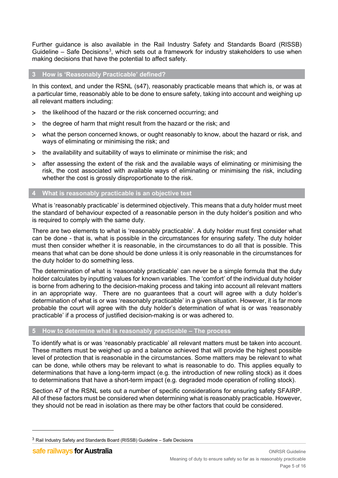Further guidance is also available in the Rail Industry Safety and Standards Board (RISSB) Guideline  $-$  Safe Decisions<sup>[3](#page-4-3)</sup>, which sets out a framework for industry stakeholders to use when making decisions that have the potential to affect safety.

## <span id="page-4-0"></span>**3 How is 'Reasonably Practicable' defined?**

In this context, and under the RSNL (s47), reasonably practicable means that which is, or was at a particular time, reasonably able to be done to ensure safety, taking into account and weighing up all relevant matters including:

- > the likelihood of the hazard or the risk concerned occurring; and
- > the degree of harm that might result from the hazard or the risk; and
- > what the person concerned knows, or ought reasonably to know, about the hazard or risk, and ways of eliminating or minimising the risk; and
- > the availability and suitability of ways to eliminate or minimise the risk; and
- > after assessing the extent of the risk and the available ways of eliminating or minimising the risk, the cost associated with available ways of eliminating or minimising the risk, including whether the cost is grossly disproportionate to the risk.

## <span id="page-4-1"></span>**4 What is reasonably practicable is an objective test**

What is 'reasonably practicable' is determined objectively. This means that a duty holder must meet the standard of behaviour expected of a reasonable person in the duty holder's position and who is required to comply with the same duty.

There are two elements to what is 'reasonably practicable'. A duty holder must first consider what can be done - that is, what is possible in the circumstances for ensuring safety. The duty holder must then consider whether it is reasonable, in the circumstances to do all that is possible. This means that what can be done should be done unless it is only reasonable in the circumstances for the duty holder to do something less.

The determination of what is 'reasonably practicable' can never be a simple formula that the duty holder calculates by inputting values for known variables. The 'comfort' of the individual duty holder is borne from adhering to the decision-making process and taking into account all relevant matters in an appropriate way. There are no guarantees that a court will agree with a duty holder's determination of what is or was 'reasonably practicable' in a given situation. However, it is far more probable the court will agree with the duty holder's determination of what is or was 'reasonably practicable' if a process of justified decision-making is or was adhered to.

## <span id="page-4-2"></span>**5 How to determine what is reasonably practicable – The process**

To identify what is or was 'reasonably practicable' all relevant matters must be taken into account. These matters must be weighed up and a balance achieved that will provide the highest possible level of protection that is reasonable in the circumstances. Some matters may be relevant to what can be done, while others may be relevant to what is reasonable to do. This applies equally to determinations that have a long-term impact (e.g. the introduction of new rolling stock) as it does to determinations that have a short-term impact (e.g. degraded mode operation of rolling stock).

Section 47 of the RSNL sets out a number of specific considerations for ensuring safety SFAIRP. All of these factors must be considered when determining what is reasonably practicable. However, they should not be read in isolation as there may be other factors that could be considered.

<span id="page-4-3"></span> $3$  Rail Industry Safety and Standards Board (RISSB) Guideline – Safe Decisions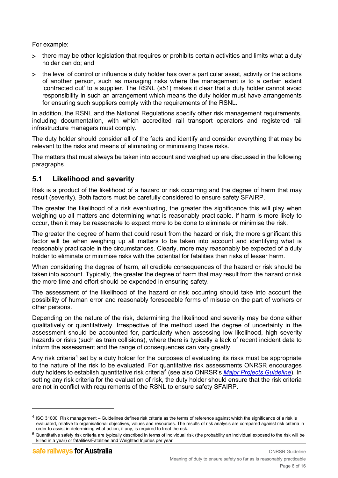For example:

- > there may be other legislation that requires or prohibits certain activities and limits what a duty holder can do; and
- > the level of control or influence a duty holder has over a particular asset, activity or the actions of another person, such as managing risks where the management is to a certain extent 'contracted out' to a supplier. The RSNL (s51) makes it clear that a duty holder cannot avoid responsibility in such an arrangement which means the duty holder must have arrangements for ensuring such suppliers comply with the requirements of the RSNL.

In addition, the RSNL and the National Regulations specify other risk management requirements, including documentation, with which accredited rail transport operators and registered rail infrastructure managers must comply.

The duty holder should consider all of the facts and identify and consider everything that may be relevant to the risks and means of eliminating or minimising those risks.

The matters that must always be taken into account and weighed up are discussed in the following paragraphs.

## <span id="page-5-0"></span>**5.1 Likelihood and severity**

Risk is a product of the likelihood of a hazard or risk occurring and the degree of harm that may result (severity). Both factors must be carefully considered to ensure safety SFAIRP.

The greater the likelihood of a risk eventuating, the greater the significance this will play when weighing up all matters and determining what is reasonably practicable. If harm is more likely to occur, then it may be reasonable to expect more to be done to eliminate or minimise the risk.

The greater the degree of harm that could result from the hazard or risk, the more significant this factor will be when weighing up all matters to be taken into account and identifying what is reasonably practicable in the circumstances. Clearly, more may reasonably be expected of a duty holder to eliminate or minimise risks with the potential for fatalities than risks of lesser harm.

When considering the degree of harm, all credible consequences of the hazard or risk should be taken into account. Typically, the greater the degree of harm that may result from the hazard or risk the more time and effort should be expended in ensuring safety.

The assessment of the likelihood of the hazard or risk occurring should take into account the possibility of human error and reasonably foreseeable forms of misuse on the part of workers or other persons.

Depending on the nature of the risk, determining the likelihood and severity may be done either qualitatively or quantitatively. Irrespective of the method used the degree of uncertainty in the assessment should be accounted for, particularly when assessing low likelihood, high severity hazards or risks (such as train collisions), where there is typically a lack of recent incident data to inform the assessment and the range of consequences can vary greatly.

Any risk criteria<sup>[4](#page-5-1)</sup> set by a duty holder for the purposes of evaluating its risks must be appropriate to the nature of the risk to be evaluated. For quantitative risk assessments ONRSR encourages duty holders to establish quantitative risk criteria[5](#page-5-2) (see also ONRSR's *[Major Projects Guideline](https://www.onrsr.com.au/__data/assets/pdf_file/0016/10465/Guideline-Major-Projects-inc-EC-and-M-guideline.pdf)*). In setting any risk criteria for the evaluation of risk, the duty holder should ensure that the risk criteria are not in conflict with requirements of the RSNL to ensure safety SFAIRP.

<span id="page-5-1"></span><sup>4</sup> ISO 31000: Risk management – Guidelines defines risk criteria as the terms of reference against which the significance of a risk is evaluated, relative to organisational objectives, values and resources. The results of risk analysis are compared against risk criteria in order to assist in determining what action, if any, is required to treat the risk.

<span id="page-5-2"></span><sup>5</sup> Quantitative safety risk criteria are typically described in terms of individual risk (the probability an individual exposed to the risk will be killed in a year) or fatalities/Fatalities and Weighted Injuries per year.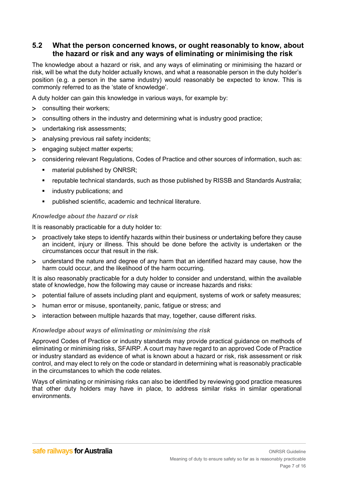## <span id="page-6-0"></span>**5.2 What the person concerned knows, or ought reasonably to know, about the hazard or risk and any ways of eliminating or minimising the risk**

The knowledge about a hazard or risk, and any ways of eliminating or minimising the hazard or risk, will be what the duty holder actually knows, and what a reasonable person in the duty holder's position (e.g. a person in the same industry) would reasonably be expected to know. This is commonly referred to as the 'state of knowledge'.

A duty holder can gain this knowledge in various ways, for example by:

- > consulting their workers;
- > consulting others in the industry and determining what is industry good practice;
- > undertaking risk assessments;
- > analysing previous rail safety incidents;
- > engaging subject matter experts;
- > considering relevant Regulations, Codes of Practice and other sources of information, such as:
	- material published by ONRSR;
	- reputable technical standards, such as those published by RISSB and Standards Australia;
	- **EXECUTE:** industry publications; and
	- published scientific, academic and technical literature.

## *Knowledge about the hazard or risk*

It is reasonably practicable for a duty holder to:

- > proactively take steps to identify hazards within their business or undertaking before they cause an incident, injury or illness. This should be done before the activity is undertaken or the circumstances occur that result in the risk.
- > understand the nature and degree of any harm that an identified hazard may cause, how the harm could occur, and the likelihood of the harm occurring.

It is also reasonably practicable for a duty holder to consider and understand, within the available state of knowledge, how the following may cause or increase hazards and risks:

- > potential failure of assets including plant and equipment, systems of work or safety measures;
- > human error or misuse, spontaneity, panic, fatigue or stress; and
- > interaction between multiple hazards that may, together, cause different risks.

## *Knowledge about ways of eliminating or minimising the risk*

Approved Codes of Practice or industry standards may provide practical guidance on methods of eliminating or minimising risks, SFAIRP. A court may have regard to an approved Code of Practice or industry standard as evidence of what is known about a hazard or risk, risk assessment or risk control, and may elect to rely on the code or standard in determining what is reasonably practicable in the circumstances to which the code relates.

Ways of eliminating or minimising risks can also be identified by reviewing good practice measures that other duty holders may have in place, to address similar risks in similar operational environments.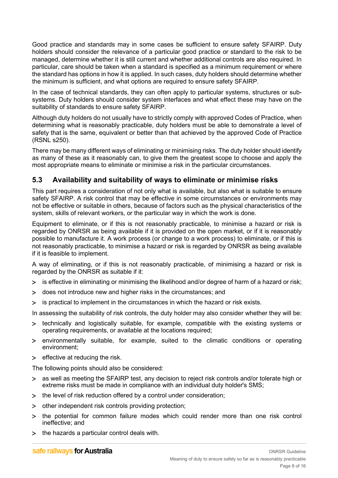Good practice and standards may in some cases be sufficient to ensure safety SFAIRP. Duty holders should consider the relevance of a particular good practice or standard to the risk to be managed, determine whether it is still current and whether additional controls are also required. In particular, care should be taken when a standard is specified as a minimum requirement or where the standard has options in how it is applied. In such cases, duty holders should determine whether the minimum is sufficient, and what options are required to ensure safety SFAIRP.

In the case of technical standards, they can often apply to particular systems, structures or subsystems. Duty holders should consider system interfaces and what effect these may have on the suitability of standards to ensure safety SFAIRP.

Although duty holders do not usually have to strictly comply with approved Codes of Practice, when determining what is reasonably practicable, duty holders must be able to demonstrate a level of safety that is the same, equivalent or better than that achieved by the approved Code of Practice (RSNL s250).

There may be many different ways of eliminating or minimising risks. The duty holder should identify as many of these as it reasonably can, to give them the greatest scope to choose and apply the most appropriate means to eliminate or minimise a risk in the particular circumstances.

## <span id="page-7-0"></span>**5.3 Availability and suitability of ways to eliminate or minimise risks**

This part requires a consideration of not only what is available, but also what is suitable to ensure safety SFAIRP. A risk control that may be effective in some circumstances or environments may not be effective or suitable in others, because of factors such as the physical characteristics of the system, skills of relevant workers, or the particular way in which the work is done.

Equipment to eliminate, or if this is not reasonably practicable, to minimise a hazard or risk is regarded by ONRSR as being available if it is provided on the open market, or if it is reasonably possible to manufacture it. A work process (or change to a work process) to eliminate, or if this is not reasonably practicable, to minimise a hazard or risk is regarded by ONRSR as being available if it is feasible to implement.

A way of eliminating, or if this is not reasonably practicable, of minimising a hazard or risk is regarded by the ONRSR as suitable if it:

- > is effective in eliminating or minimising the likelihood and/or degree of harm of a hazard or risk;
- > does not introduce new and higher risks in the circumstances; and
- > is practical to implement in the circumstances in which the hazard or risk exists.

In assessing the suitability of risk controls, the duty holder may also consider whether they will be:

- > technically and logistically suitable, for example, compatible with the existing systems or operating requirements, or available at the locations required;
- > environmentally suitable, for example, suited to the climatic conditions or operating environment;
- > effective at reducing the risk.

The following points should also be considered:

- > as well as meeting the SFAIRP test, any decision to reject risk controls and/or tolerate high or extreme risks must be made in compliance with an individual duty holder's SMS;
- > the level of risk reduction offered by a control under consideration;
- > other independent risk controls providing protection;
- > the potential for common failure modes which could render more than one risk control ineffective; and
- > the hazards a particular control deals with.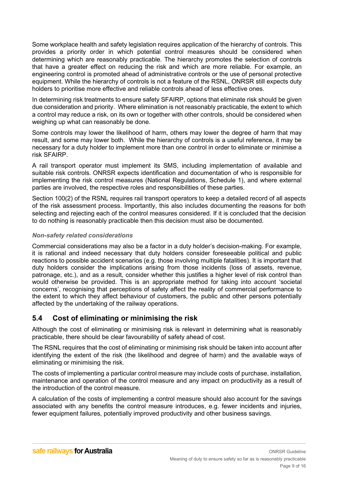Some workplace health and safety legislation requires application of the hierarchy of controls. This provides a priority order in which potential control measures should be considered when determining which are reasonably practicable. The hierarchy promotes the selection of controls that have a greater effect on reducing the risk and which are more reliable. For example, an engineering control is promoted ahead of administrative controls or the use of personal protective equipment. While the hierarchy of controls is not a feature of the RSNL, ONRSR still expects duty holders to prioritise more effective and reliable controls ahead of less effective ones.

In determining risk treatments to ensure safety SFAIRP, options that eliminate risk should be given due consideration and priority. Where elimination is not reasonably practicable, the extent to which a control may reduce a risk, on its own or together with other controls, should be considered when weighing up what can reasonably be done.

Some controls may lower the likelihood of harm, others may lower the degree of harm that may result, and some may lower both. While the hierarchy of controls is a useful reference, it may be necessary for a duty holder to implement more than one control in order to eliminate or minimise a risk SFAIRP.

A rail transport operator must implement its SMS, including implementation of available and suitable risk controls. ONRSR expects identification and documentation of who is responsible for implementing the risk control measures (National Regulations, Schedule 1), and where external parties are involved, the respective roles and responsibilities of these parties.

Section 100(2) of the RSNL requires rail transport operators to keep a detailed record of all aspects of the risk assessment process. Importantly, this also includes documenting the reasons for both selecting and rejecting each of the control measures considered. If it is concluded that the decision to do nothing is reasonably practicable then this decision must also be documented.

## *Non-safety related considerations*

Commercial considerations may also be a factor in a duty holder's decision-making. For example, it is rational and indeed necessary that duty holders consider foreseeable political and public reactions to possible accident scenarios (e.g. those involving multiple fatalities). It is important that duty holders consider the implications arising from those incidents (loss of assets, revenue, patronage, etc.), and as a result, consider whether this justifies a higher level of risk control than would otherwise be provided. This is an appropriate method for taking into account 'societal concerns', recognising that perceptions of safety affect the reality of commercial performance to the extent to which they affect behaviour of customers, the public and other persons potentially affected by the undertaking of the railway operations.

## <span id="page-8-0"></span>**5.4 Cost of eliminating or minimising the risk**

Although the cost of eliminating or minimising risk is relevant in determining what is reasonably practicable, there should be clear favourability of safety ahead of cost.

The RSNL requires that the cost of eliminating or minimising risk should be taken into account after identifying the extent of the risk (the likelihood and degree of harm) and the available ways of eliminating or minimising the risk.

The costs of implementing a particular control measure may include costs of purchase, installation, maintenance and operation of the control measure and any impact on productivity as a result of the introduction of the control measure.

A calculation of the costs of implementing a control measure should also account for the savings associated with any benefits the control measure introduces, e.g. fewer incidents and injuries, fewer equipment failures, potentially improved productivity and other business savings.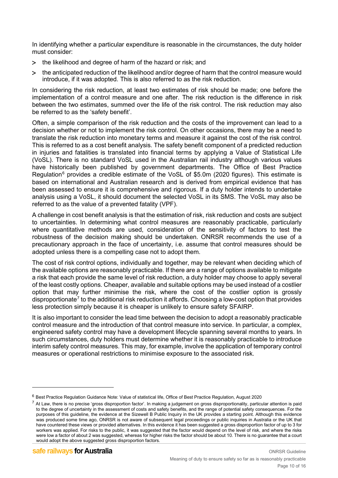In identifying whether a particular expenditure is reasonable in the circumstances, the duty holder must consider:

- > the likelihood and degree of harm of the hazard or risk; and
- > the anticipated reduction of the likelihood and/or degree of harm that the control measure would introduce, if it was adopted. This is also referred to as the risk reduction.

In considering the risk reduction, at least two estimates of risk should be made; one before the implementation of a control measure and one after. The risk reduction is the difference in risk between the two estimates, summed over the life of the risk control. The risk reduction may also be referred to as the 'safety benefit'.

Often, a simple comparison of the risk reduction and the costs of the improvement can lead to a decision whether or not to implement the risk control. On other occasions, there may be a need to translate the risk reduction into monetary terms and measure it against the cost of the risk control. This is referred to as a cost benefit analysis. The safety benefit component of a predicted reduction in injuries and fatalities is translated into financial terms by applying a Value of Statistical Life (VoSL). There is no standard VoSL used in the Australian rail industry although various values have historically been published by government departments. The Office of Best Practice Regulation<sup>[6](#page-9-0)</sup> provides a credible estimate of the VoSL of \$5.0m (2020 figures). This estimate is based on international and Australian research and is derived from empirical evidence that has been assessed to ensure it is comprehensive and rigorous. If a duty holder intends to undertake analysis using a VoSL, it should document the selected VoSL in its SMS. The VoSL may also be referred to as the value of a prevented fatality (VPF).

A challenge in cost benefit analysis is that the estimation of risk, risk reduction and costs are subject to uncertainties. In determining what control measures are reasonably practicable, particularly where quantitative methods are used, consideration of the sensitivity of factors to test the robustness of the decision making should be undertaken. ONRSR recommends the use of a precautionary approach in the face of uncertainty, i.e. assume that control measures should be adopted unless there is a compelling case not to adopt them.

The cost of risk control options, individually and together, may be relevant when deciding which of the available options are reasonably practicable. If there are a range of options available to mitigate a risk that each provide the same level of risk reduction, a duty holder may choose to apply several of the least costly options. Cheaper, available and suitable options may be used instead of a costlier option that may further minimise the risk, where the cost of the costlier option is grossly disproportionate<sup>[7](#page-9-1)</sup> to the additional risk reduction it affords. Choosing a low-cost option that provides less protection simply because it is cheaper is unlikely to ensure safety SFAIRP.

It is also important to consider the lead time between the decision to adopt a reasonably practicable control measure and the introduction of that control measure into service. In particular, a complex, engineered safety control may have a development lifecycle spanning several months to years. In such circumstances, duty holders must determine whether it is reasonably practicable to introduce interim safety control measures. This may, for example, involve the application of temporary control measures or operational restrictions to minimise exposure to the associated risk.

<span id="page-9-0"></span><sup>6</sup> Best Practice Regulation Guidance Note: Value of statistical life, Office of Best Practice Regulation, August 2020

<span id="page-9-1"></span> $^7$  At Law, there is no precise 'gross disproportion factor'. In making a judgement on gross disproportionality, particular attention is paid to the degree of uncertainty in the assessment of costs and safety benefits, and the range of potential safety consequences. For the purposes of this guideline, the evidence at the Sizewell B Public Inquiry in the UK provides a starting point. Although this evidence was produced some time ago, ONRSR is not aware of subsequent legal proceedings or public inquiries in Australia or the UK that have countered these views or provided alternatives. In this evidence it has been suggested a gross disproportion factor of up to 3 for workers was applied. For risks to the public, it was suggested that the factor would depend on the level of risk, and where the risks were low a factor of about 2 was suggested, whereas for higher risks the factor should be about 10. There is no guarantee that a court would adopt the above suggested gross disproportion factors.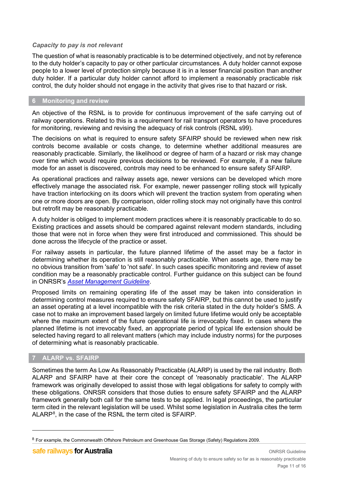## *Capacity to pay is not relevant*

The question of what is reasonably practicable is to be determined objectively, and not by reference to the duty holder's capacity to pay or other particular circumstances. A duty holder cannot expose people to a lower level of protection simply because it is in a lesser financial position than another duty holder. If a particular duty holder cannot afford to implement a reasonably practicable risk control, the duty holder should not engage in the activity that gives rise to that hazard or risk.

## <span id="page-10-0"></span>**6 Monitoring and review**

An objective of the RSNL is to provide for continuous improvement of the safe carrying out of railway operations. Related to this is a requirement for rail transport operators to have procedures for monitoring, reviewing and revising the adequacy of risk controls (RSNL s99).

The decisions on what is required to ensure safety SFAIRP should be reviewed when new risk controls become available or costs change, to determine whether additional measures are reasonably practicable. Similarly, the likelihood or degree of harm of a hazard or risk may change over time which would require previous decisions to be reviewed. For example, if a new failure mode for an asset is discovered, controls may need to be enhanced to ensure safety SFAIRP.

As operational practices and railway assets age, newer versions can be developed which more effectively manage the associated risk. For example, newer passenger rolling stock will typically have traction interlocking on its doors which will prevent the traction system from operating when one or more doors are open. By comparison, older rolling stock may not originally have this control but retrofit may be reasonably practicable.

A duty holder is obliged to implement modern practices where it is reasonably practicable to do so. Existing practices and assets should be compared against relevant modern standards, including those that were not in force when they were first introduced and commissioned. This should be done across the lifecycle of the practice or asset.

For railway assets in particular, the future planned lifetime of the asset may be a factor in determining whether its operation is still reasonably practicable. When assets age, there may be no obvious transition from 'safe' to 'not safe'. In such cases specific monitoring and review of asset condition may be a reasonably practicable control. Further guidance on this subject can be found in ONRSR's *[Asset Management Guideline](https://www.onrsr.com.au/__data/assets/pdf_file/0020/10379/Guideline-Asset-Management-26Feb19.pdf)*.

Proposed limits on remaining operating life of the asset may be taken into consideration in determining control measures required to ensure safety SFAIRP, but this cannot be used to justify an asset operating at a level incompatible with the risk criteria stated in the duty holder's SMS. A case not to make an improvement based largely on limited future lifetime would only be acceptable where the maximum extent of the future operational life is irrevocably fixed. In cases where the planned lifetime is not irrevocably fixed, an appropriate period of typical life extension should be selected having regard to all relevant matters (which may include industry norms) for the purposes of determining what is reasonably practicable.

## <span id="page-10-1"></span>**7 ALARP vs. SFAIRP**

Sometimes the term As Low As Reasonably Practicable (ALARP) is used by the rail industry. Both ALARP and SFAIRP have at their core the concept of 'reasonably practicable'. The ALARP framework was originally developed to assist those with legal obligations for safety to comply with these obligations. ONRSR considers that those duties to ensure safety SFAIRP and the ALARP framework generally both call for the same tests to be applied. In legal proceedings, the particular term cited in the relevant legislation will be used. Whilst some legislation in Australia cites the term ALARP[8](#page-10-2) , in the case of the RSNL the term cited is SFAIRP.

<span id="page-10-2"></span><sup>&</sup>lt;sup>8</sup> For example, the Commonwealth Offshore Petroleum and Greenhouse Gas Storage (Safety) Regulations 2009.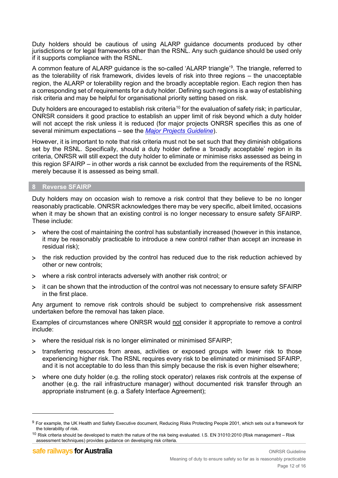Duty holders should be cautious of using ALARP guidance documents produced by other jurisdictions or for legal frameworks other than the RSNL. Any such guidance should be used only if it supports compliance with the RSNL.

A common feature of ALARP guidance is the so-called 'ALARP triangle'<sup>[9](#page-11-1)</sup>. The triangle, referred to as the tolerability of risk framework, divides levels of risk into three regions – the unacceptable region, the ALARP or tolerability region and the broadly acceptable region. Each region then has a corresponding set of requirements for a duty holder. Defining such regions is a way of establishing risk criteria and may be helpful for organisational priority setting based on risk.

Duty holders are encouraged to establish risk criteria<sup>[10](#page-11-2)</sup> for the evaluation of safety risk; in particular, ONRSR considers it good practice to establish an upper limit of risk beyond which a duty holder will not accept the risk unless it is reduced (for major projects ONRSR specifies this as one of several minimum expectations – see the *[Major Projects Guideline](https://www.onrsr.com.au/__data/assets/pdf_file/0016/10465/Guideline-Major-Projects-inc-EC-and-M-guideline.pdf)*).

However, it is important to note that risk criteria must not be set such that they diminish obligations set by the RSNL. Specifically, should a duty holder define a 'broadly acceptable' region in its criteria, ONRSR will still expect the duty holder to eliminate or minimise risks assessed as being in this region SFAIRP – in other words a risk cannot be excluded from the requirements of the RSNL merely because it is assessed as being small.

## <span id="page-11-0"></span>**8 Reverse SFAIRP**

Duty holders may on occasion wish to remove a risk control that they believe to be no longer reasonably practicable. ONRSR acknowledges there may be very specific, albeit limited, occasions when it may be shown that an existing control is no longer necessary to ensure safety SFAIRP. These include:

- > where the cost of maintaining the control has substantially increased (however in this instance, it may be reasonably practicable to introduce a new control rather than accept an increase in residual risk);
- > the risk reduction provided by the control has reduced due to the risk reduction achieved by other or new controls;
- > where a risk control interacts adversely with another risk control; or
- > it can be shown that the introduction of the control was not necessary to ensure safety SFAIRP in the first place.

Any argument to remove risk controls should be subject to comprehensive risk assessment undertaken before the removal has taken place.

Examples of circumstances where ONRSR would not consider it appropriate to remove a control include:

- > where the residual risk is no longer eliminated or minimised SFAIRP;
- > transferring resources from areas, activities or exposed groups with lower risk to those experiencing higher risk. The RSNL requires every risk to be eliminated or minimised SFAIRP, and it is not acceptable to do less than this simply because the risk is even higher elsewhere;
- > where one duty holder (e.g. the rolling stock operator) relaxes risk controls at the expense of another (e.g. the rail infrastructure manager) without documented risk transfer through an appropriate instrument (e.g. a Safety Interface Agreement);

<span id="page-11-1"></span><sup>9</sup> For example, the UK Health and Safety Executive document, Reducing Risks Protecting People 2001, which sets out a framework for the tolerability of risk.

<span id="page-11-2"></span> $10$  Risk criteria should be developed to match the nature of the risk being evaluated. I.S. EN 31010:2010 (Risk management – Risk assessment techniques) provides guidance on developing risk criteria.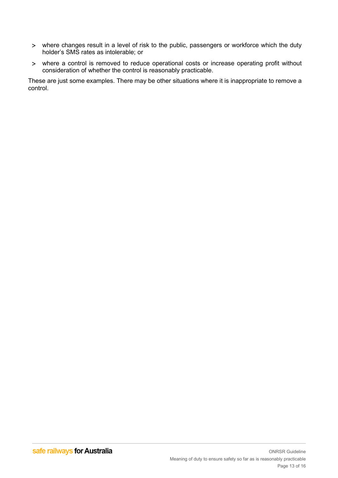- > where changes result in a level of risk to the public, passengers or workforce which the duty holder's SMS rates as intolerable; or
- > where a control is removed to reduce operational costs or increase operating profit without consideration of whether the control is reasonably practicable.

These are just some examples. There may be other situations where it is inappropriate to remove a control.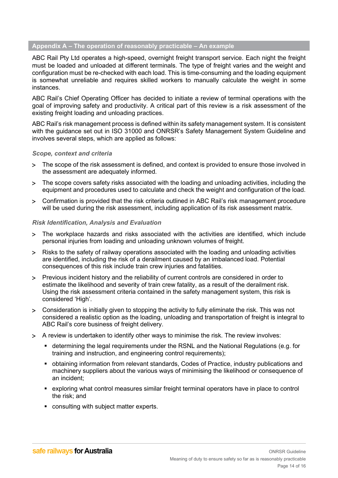## <span id="page-13-0"></span>**Appendix A – The operation of reasonably practicable – An example**

ABC Rail Pty Ltd operates a high-speed, overnight freight transport service. Each night the freight must be loaded and unloaded at different terminals. The type of freight varies and the weight and configuration must be re-checked with each load. This is time-consuming and the loading equipment is somewhat unreliable and requires skilled workers to manually calculate the weight in some instances.

ABC Rail's Chief Operating Officer has decided to initiate a review of terminal operations with the goal of improving safety and productivity. A critical part of this review is a risk assessment of the existing freight loading and unloading practices.

ABC Rail's risk management process is defined within its safety management system. It is consistent with the guidance set out in ISO 31000 and ONRSR's Safety Management System Guideline and involves several steps, which are applied as follows:

## *Scope, context and criteria*

- > The scope of the risk assessment is defined, and context is provided to ensure those involved in the assessment are adequately informed.
- > The scope covers safety risks associated with the loading and unloading activities, including the equipment and procedures used to calculate and check the weight and configuration of the load.
- > Confirmation is provided that the risk criteria outlined in ABC Rail's risk management procedure will be used during the risk assessment, including application of its risk assessment matrix.

## *Risk Identification, Analysis and Evaluation*

- > The workplace hazards and risks associated with the activities are identified, which include personal injuries from loading and unloading unknown volumes of freight.
- > Risks to the safety of railway operations associated with the loading and unloading activities are identified, including the risk of a derailment caused by an imbalanced load. Potential consequences of this risk include train crew injuries and fatalities.
- > Previous incident history and the reliability of current controls are considered in order to estimate the likelihood and severity of train crew fatality, as a result of the derailment risk. Using the risk assessment criteria contained in the safety management system, this risk is considered 'High'.
- > Consideration is initially given to stopping the activity to fully eliminate the risk. This was not considered a realistic option as the loading, unloading and transportation of freight is integral to ABC Rail's core business of freight delivery.
- > A review is undertaken to identify other ways to minimise the risk. The review involves:
	- determining the legal requirements under the RSNL and the National Regulations (e.g. for training and instruction, and engineering control requirements);
	- obtaining information from relevant standards, Codes of Practice, industry publications and machinery suppliers about the various ways of minimising the likelihood or consequence of an incident;
	- exploring what control measures similar freight terminal operators have in place to control the risk; and
	- **consulting with subject matter experts.**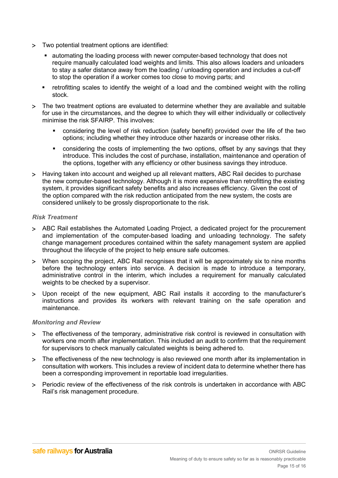- > Two potential treatment options are identified:
	- automating the loading process with newer computer-based technology that does not require manually calculated load weights and limits. This also allows loaders and unloaders to stay a safer distance away from the loading / unloading operation and includes a cut-off to stop the operation if a worker comes too close to moving parts; and
	- retrofitting scales to identify the weight of a load and the combined weight with the rolling stock.
- > The two treatment options are evaluated to determine whether they are available and suitable for use in the circumstances, and the degree to which they will either individually or collectively minimise the risk SFAIRP. This involves:
	- considering the level of risk reduction (safety benefit) provided over the life of the two options; including whether they introduce other hazards or increase other risks.
	- **•** considering the costs of implementing the two options, offset by any savings that they introduce. This includes the cost of purchase, installation, maintenance and operation of the options, together with any efficiency or other business savings they introduce.
- > Having taken into account and weighed up all relevant matters, ABC Rail decides to purchase the new computer-based technology. Although it is more expensive than retrofitting the existing system, it provides significant safety benefits and also increases efficiency. Given the cost of the option compared with the risk reduction anticipated from the new system, the costs are considered unlikely to be grossly disproportionate to the risk.

## *Risk Treatment*

- > ABC Rail establishes the Automated Loading Project, a dedicated project for the procurement and implementation of the computer-based loading and unloading technology. The safety change management procedures contained within the safety management system are applied throughout the lifecycle of the project to help ensure safe outcomes.
- > When scoping the project, ABC Rail recognises that it will be approximately six to nine months before the technology enters into service. A decision is made to introduce a temporary, administrative control in the interim, which includes a requirement for manually calculated weights to be checked by a supervisor.
- > Upon receipt of the new equipment, ABC Rail installs it according to the manufacturer's instructions and provides its workers with relevant training on the safe operation and maintenance.

#### *Monitoring and Review*

- > The effectiveness of the temporary, administrative risk control is reviewed in consultation with workers one month after implementation. This included an audit to confirm that the requirement for supervisors to check manually calculated weights is being adhered to.
- > The effectiveness of the new technology is also reviewed one month after its implementation in consultation with workers. This includes a review of incident data to determine whether there has been a corresponding improvement in reportable load irregularities.
- > Periodic review of the effectiveness of the risk controls is undertaken in accordance with ABC Rail's risk management procedure.